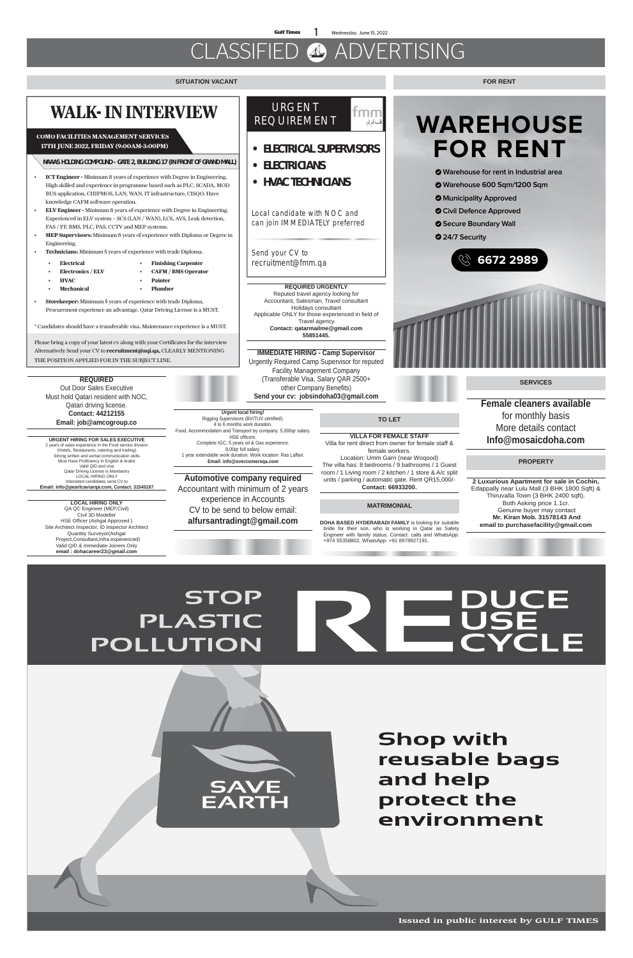**Gulf Times** 1 Wednesday, June 15, 2022

فقسالم لع

# CLASSIFIED ADVERTISING

### **SITUATION VACANT**

**Issued in public interest by GULF TIMES**

### **MATRIMONIAL**

### **TO LET**

**VILLA FOR FEMALE STAFF** Villa for rent direct from owner for female staff & female workers. Location: Umm Garn (near Woqood) The villa has: 8 bedrooms / 9 bathrooms / 1 Guest

room / 1 Living room / 2 kitchen / 1 store & A/c split units / parking / automatic gate. Rent QR15,000/- **Contact: 66933200.**

**DOHA BASED HYDERABADI FAMILY** is looking for suitable bride for their son, who is working in Qatar as Safety Engineer with family status. Contact: calls and WhatsApp: +974 55358802, WhatsApp: +91 8978927191.

## **REQUIRED**

Out Door Sales Executive Must hold Qatari resident with NOC, Qatari driving license. **Contact: 44212155 Email: job@amcogroup.co**

**URGENT HIRING FOR SALES EXECUTIVE** 2 years of sales experience in the Food service division (Hotels, Restaurants, catering and trading) Strong written and verbal communication skills Must Have Proficiency in English & Arabic Valid QID and visa Qatar Driving License is Mandatory LOCAL HIRING ONLY Interested candidates send CV to **Email: info@pearlcaviarqa.com, Contact: 31545187**

# **WALK- IN INTERVIEW**

- **ICT Engineer -** Minimum 8 years of experience with Degree in Engineering. High skilled and experience in programme based such as PLC, SCADA, MOD BUS application, CHIPMOS, LAN, WAN, IT infrastructure, CISQO. Have knowledge CAFM software operation.
- **ELV Engineer -** Minimum 8 years of experience with Degree in Engineering. Experienced in ELV system – SCS (LAN / WAN), LCS, AVS, Leak detection, FAS / FF, BMS, PLC, PAS, CCTV and MEP systems.
- **MEP Supervisors:** Minimum 8 years of experience with Diploma or Degree in Engineering.
- **Technicians:** Minimum 5 years of experience with trade Diploma.
	- **Electrical**
- **Finishing Carpenter**
- **Electronics / ELV** • **HVAC**
- **Painter** • **Plumber**

\* Candidates should have a transferable visa. Maintenance experience is a MUST.

Please bring a copy of your latest cv along with your Certificates for the interview Alternatively Send your CV to **recruitment@aqi.qa,** CLEARLY MENTIONING THE POSITION APPLIED FOR IN THE SUBJECT LINE.

- **Mechanical**
- **Storekeeper:** Minimum 5 years of experience with trade Diploma. Procurement experience an advantage. Qatar Driving License is a MUST.

## **COMO FACILITIES MANAGEMENT SERVICES 17TH JUNE 2022, FRIDAY (9:00AM-3:00PM)**

• **CAFM / BMS Operator**

**NAAAS HOLDING COMPOUND - GATE 2, BUILDING 17 (IN FRONT OF GRAND MALL)**

# **WAREHOUSE FOR RENT**

- **Warehouse for rent in Industrial area**
- **Warehouse 600 Sqm/1200 Sqm**
- **Municipality Approved**
- **Civil Defence Approved**
- **Secure Boundary Wall**
- **24/7 Security**





### **FOR RENT**

### URGENT fmm REQUIREMENT

- **ELECTRICAL SUPERVISORS**
- **ELECTRICIANS**
- **HVAC TECHNICIANS**

Local candidate with NOC and can join IMMEDIATELY preferred

Send your CV to recruitment@fmm.qa

### **PROPERTY**

**SERVICES**

**REQUIRED URGENTLY** Reputed travel agency looking for Accountant, Salesman, Travel consultant Holidays consultant Applicable ONLY for those experienced in field of Travel agency. **Contact: qatarmailme@gmail.com 55851445.**

**IMMEDIATE HIRING - Camp Supervisor** Urgently Required Camp Supervisor for reputed Facility Management Company (Transferable Visa, Salary QAR 2500+ other Company Benefits) **Send your cv: jobsindoha03@gmail.com**

**LOCAL HIRING ONLY** QA QC Engineer (MEP,Civil) Civil 3D Modeller HSE Officer (Ashgal Approved ) Site Architect Inspector, ID Inspector Architect Quantity Surveyor(Ashgal Project,Consultant,Infra experienced) Valid QID & Immediate Joiners Only **email : dohacareer23@gmail.com**

**2 Luxurious Apartment for sale in Cochin,**  Edappally near Lulu Mall (3 BHK 1800 Sqft) & Thiruvalla Town (3 BHK 2400 sqft). Both Asking price 1.1cr. Genuine buyer may contact  **Mr. Kiran Mob. 31578143 And email to purchasefacility@gmail.com**

# **DUCE<br>USE<br>CYCLE STOP PLASTIC** POLLUTION



**Shop with** reusable bags and help protect the environment

**Female cleaners available** for monthly basis More details contact **Info@mosaicdoha.com**

**Urgent local hiring!** Rigging Supervisors (BV/TUV certified). 4 to 6 months work duration. Food, Accommodation and Transport by company. 5,000qr salary. HSE officers. Complete IGC. 5 years oil & Gas experience. 8,00qr full salary. 1 year extendable work duration. Work location: Ras Laffan. **Email: info@overcomersqa.com**

**Automotive company required**  Accountant with minimum of 2 years experience in Accounts

CV to be send to below email: **alfursantradingt@gmail.com**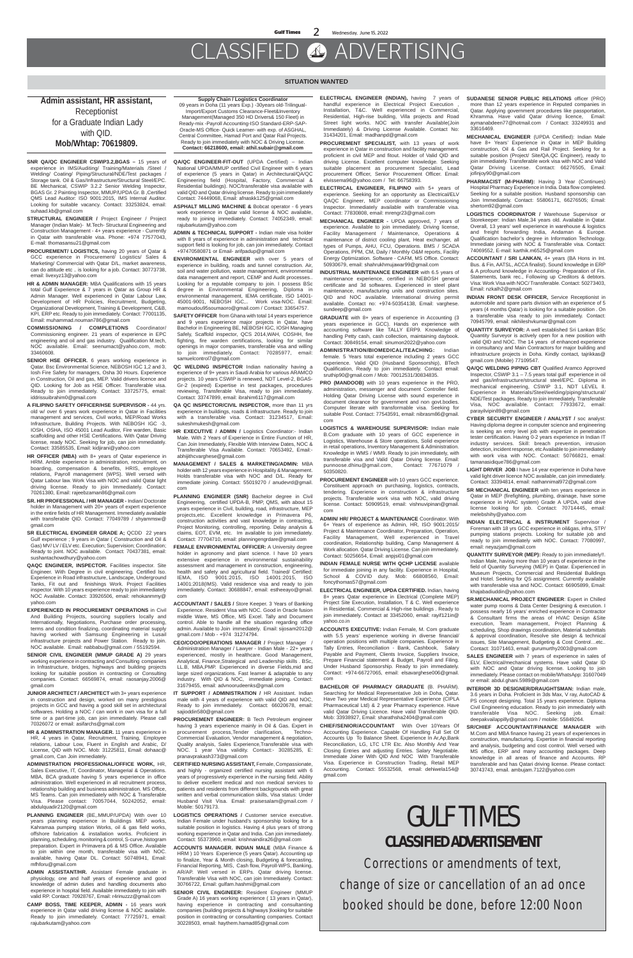**Gulf Times** 2 Wednesday, June 15, 2022

# CLASSIFIED ADVERTISING

### **SITUATION WANTED**

**SNR QA/QC ENGINEER CSWIP3.2,BGAS –** 15 years of experience in IMS/Auditing/ Training/Materials /Steel / Welding/ Coating/ Piping/Structural/NDE/Test packages / Storage tank. Oil & Gas/Infrastructure/Structural Steel/EPC. BE Mechanical, CSWIP 3.2.2 Senior Welding Inspector, BGAS Gr. 2 Painting Inspector, MMUP/UPDA Gr. B ,Certified QMS Lead Auditor: ISO 9001:2015, IMS Internal Auditor. Looking for suitable vacancy. Contact: 33253824, email: suhaad.kb@gmail.com

**STRUCTURAL ENGINEER /** Project Engineer / Project Manager (Indian Male)- M.Tech- Structural Engineering and Construction Management - 4+ years experience - Currently in Qatar with transferable visa. Phone: +974 77577043, E-mail: thomasansu21@gmail.com

**PROCUREMENT/ LOGISTICS,** having 20 years of Qatar & GCC experience in Procurement/ Logistics/ Sales & Marketing/ Commercial with Qatar D/L, market awareness, can do attitude etc .. is looking for a job. Contact: 30773738, email: livexyz13@yahoo.com

**HR & ADMIN MANAGER:** MBA Qualifications with 15 years total Gulf Experience & 7 years in Qatar as Group HR & Admin Manager. Well experienced in Qatar Labour Law, Development of HR Policies, Recruitment, Budgeting, Organizational Development, Training & Development, C&B, KPI, ERP etc. Ready to join immediately. Contact: 77001135, Email: muhammad.nouman786@gmail.com

**COMMISSIONING / COMPLETIONS** Coordinator/ Commissioning engineer. 21 years of experience in EPC engineering and oil and gas industry. Qualification M.tech, NOC available. Email: seenumact@yahoo.com, mob: 33460608.

**SENIOR HSE OFFICER.** 6 years working experience in Qatar. Bsc Environmental Science, NEBOSH IGC 1,2 and 3, Iosh Fire Safety for managers, Osha 30 Hours. Experience in Construction, Oil and gas, MEP. Valid drivers licence and QID. Looking for Job as HSE Officer. Transferable visa. Ready to join immediately. Contact: 33725775, email: iddrissuibrahim0@gmail.com

**A FILIPINO SAFETY OFFICER/HSE SUPERVISOR -** 44 yrs. old w/ over 6 years work experience in Qatar in Facilities management and services, Civil works, MEP/Road Works Infrastructure, Building Projects. With NEBOSH IGC -3, IOSH, OSHA, ISO 45001 Lead Auditor, Fire warden, Basic scaffolding and other HSE Certifications. With Qatar Driving license, ready NOC. Seeking for job, can join immediately. Contact: 33585535, Email: kidjirani@yahoo.com

**JUNIOR ARCHITECT / ARCHITECT** with 3+ years experience in construction and design, worked on many prestigious projects in GCC and having a good skill set in architectural softwares. Holding a NOC / can work in own visa for a full time or a part-time job, can join immediately. Please call 70326072 or email: asifarchs@gmail.com

**HR OFFICER (MBA)** with 8+ years of Qatar experience in HRM. Amble experience in administration, recruitment, on boarding, compensation & benefits, HRIS, employee relations, Payroll management (WPS). Well versed with Qatar Labour law. Work Visa with NOC and valid Qatar light driving license. Ready to join Immediately. Contact: 70261380, Email: rajeebzaman86@gmail.com

**SR. HR PROFESSIONAL / HR MANAGER -** Indian/ Doctorate holder in Management with 20+ years of expert experience in the entire fields of HR Management. Immediately available with transferable QID. Contact: 77049789 / shyammsw@ gmail.com

**SR ELECTRICAL ENGINEER GRADE A;** QCDD 22 years Gulf experience ; 9 years in Qatar ( Construction and Oil & Gas) MV/ LV / ELV etc. Execution; Supervision; Coordination; Ready to joint. NOC available. Contact: 70437381, email: sushantachowdhury@yahoo.com

**QAQC ENGINEER, INSPECTOR.** Facilities inspector. Site Engineer. With Degree in civil engineering. Certified lso. Experience in Road infrastructure, Landscape, Underground Tanks, Fit out and finishings Work. Project Facilities inspector. With 10 years experience ready to join immediately NOC Available. Contact: 33926506, email: rehokanmmy@ yahoo.com

**EXPERIENCED IN PROCUREMENT OPERATIONS** in Civil And Building Projects, sourcing suppliers locally and Internationally, Negotiations, Purchase order processing, terms and condition finalizing, coordinating material supply having worked with Samsung Engineering in Lusail infrastructure projects and Power Station. Ready to join. NOC available. Email: nabbabu@gmail.com / 55192594.

**SENIOR CIVIL ENGINEER (MMUP GRADE A)** 29 years working experience in contracting and Consulting companies in Infrastructure, bridges, highways and building projects looking for suitable position in contracting or Consulting companies. Contact: 66569874, email: raosanjay.2006@ gmail.com

**HR & ADMINISTRATION MANAGER.** 11 years experience in HR, 4 years in Qatar, Recruitment, Training, Employee relations, Labour Low, Fluent in English and Arabic, D/ License, QID with NOC. Mob: 31225811, Email: dohaac@ gmail.com, Can Join immediately.

**ADMINISTRATION PROFESSIONAL/OFFICE WORK,** HR, Sales Executive, IT, Coordinator, Managerial & Operations. MBA, BCA graduate having 5 years experience in office administration. Well experienced in all recruitment process, relationship building and business administration. MS Office, MS Teams. Can join immediately with NOC & Transferable Visa. Please contact: 70057044, 50242052, email: abdulquadir2120@gmail.com

**IT SUPPORT / ADMINISTRATION / HR Assistant. Indian** male with 4 years of experience with valid QID and NOC, Ready to join immediately. Contact: 66020678, email: sajioddin580@gmail.com

**PLANNING ENGINEER** (BE,.MMUP/UPDA) With over 10 years planning experience in Buildings MEP works, Kahramaa pumping station Works, oil & gas field works, offshore fabrication & installation works. Proficient in planning, scheduling, monitoring & control, S-curve,histogram preparation. Expert in Primavera p6 & MS Office. Available to join within one month, transferable visa with NOC. available, having Qatar DL. Contact: 50748941, Email: mfhforu@gmail.com

**ADMIN ASSISTANT/HR.** Assistant Female graduate in physiology, one and half years of experience and good knowledge of admin duties and handling documents also experience in hospital field. Available immediately to join with valid RP. Contact: 70928767, Email: r4rinuzzz@gmail.com

**CAMP BOSS, TIME KEEPER, ADMIN -** 16 years work experience in Qatar valid driving license & NOC available. Ready to join immediately. Contact: 77725971, email: rajubarkutam@yahoo.com

**QA/QC ENGINEER-FIT-OUT** (UPDA Certified) – Indian National UPDA/MMUP certified Civil Engineer with 6 years of experience (5 years in Qatar) in Architectural/QA/QC Engineering field (Hospital, Factory, Commercial & Residential buildings). NOC/transferable visa available with valid QID and Qatar driving license. Ready to join immediately Contact: 74449068, Email: afnaskk125@gmail.com

**ASPHALT MILLING MACHINE &** Bobcat operator - 6 years work experience in Qatar valid license & NOC available, ready to joining immediately. Contact: 74052349, email: rajubarkutam@yahoo.com

**ADMIN & TECHNICAL SUPPORT -** Indian male visa holder with 8 years of experience in administration and technical support field is looking for job, can join immediately. Contact +97470580871 or Email- arifpadup@gmail.com

**ENVIRONMENTAL ENGINEER** with over 5 years of experience in building, roads and tunnel construction. Air, soil and water pollution, waste management, environmental data management and report, CEMP and Audit processes.. Looking for a reputable company to join. I possess BSc degree in Environmental Engineering, Diploma in environmental management, IEMA certificate, ISO 14001- 45001-9001, NEBOSH IGC,.. Work visa-NOC. Email: mamoudou95soumaoro@gmail.com / Contact: 33654757.

**SAFETY OFFICER** from Ghana with total 14 years experience and 9 years experience major projects in Qatar, have Bachelor in Engineering BE, NEBOSH IGC, IOSH Managing Safely, Scaffold inspector, QCS 2014,WAH, COSHH, fire fighting, fire warden certifications, looking for similar openings in major companies, transferable visa and willing to join immediately. Contact: 70285977, email: samuelcontrol7@gmail.com

**QC WELDING INSPECTOR** Indian nationality having a experience of 9+ years in Saudi Arabia for various ARAMCO projects. 10 years CSWIP is renewed, NDT Level-2, BGAS-Gr-2 (expired) Expertise in test packages, procedures reviewing, Transferable Visa, ready to join immediately. Contact: 33747899, email: ibrahim6117@gmail.com

**QA QC INSPECTOR/CIVIL INSPECTOR,** more than 11 yrs experience in buildings, roads & infrastructure. Ready to join with a transferable visa. Contact: 31234517, Email: sukeshmukesh@gmail.com

**HR EXECUTIVE / ADMIN /** Logistics Coordinator:- Indian Male. With 2 Years of Experience in Entire Function of HR, Can Join Immediately, Flexible With Interview Dates, NOC & Transferable Visa Available. Contact: 70653492, Email: abhijithcvarghese@gmail.com

**MANAGEMENT / SALES & MARKETING/ADMIN:** MBA holder with 12 years experience in Hospitality & Management. Holds transferable visa with NOC and D/L. Ready for immediate joining. Contact: 55019270 / anudevrd@gmail. com

**PLANNING ENGINEER (SNR)** Bachelor degree in Civil Engineering, certified UPDA-B, PMP, QMS, with about 15 years experience in Civil, building, road, infrastructure, MEP projects,etc. Excellent knowledge in Primavera P6, construction activities and vast knowledge in contracting, Project Monitoring, controlling, reporting. Delay analysis & claims, EOT, EVM, etc. Im available to join immediately. Contact: 77704710, email: planningengrdare@gmail.com

**FEMALE ENVIRONMENTAL OFFICER:** A University degree holder in agronomy and plant science. I have 10 years extensive experience in environmental sustainability assessment and management in construction, engineering, health and safety and agricultural field. Trained/ Certified: IEMA, ISO 9001:2015, ISO 14001:2015, ISO 14001:2018(IMS). Valid residence visa and ready to join immediately. Contact: 30688847, email: estheeayo@gmail. com

**ACCOUNTANT / SALES /** Store Keeper. 3 Years of Banking Experience. Resident Visa with NOC. Good in Oracle fusion middle Ware, MS Office, MS Excel. Tally and Document control. Able to handle all the situation regarding office admin. Available to Join immediately. Email: sijosam2012@ gmail.com / Mob - +974 31274794.

**CEO/COO/OPERATIONS MANAGER /** Project Manager / Administration Manager / Lawyer - Indian Male - 22+ years experienced, mostly in healthcare. Good Management, Analytical, Finance,Strategical and Leadership skills . BSc, LL.B, MBA,PMP. Experienced in diverse Fields,mid and large sized organizations. Fast learner & adaptable to any industry. With QID & NOC, immediate joining. Contact: 31679455, email: advnoorudeenks@gmail.com

**PROCUREMENT ENGINEER:** B Tech Petroleum engineer having 3 years experience mainly in Oil & Gas. Expert in procurement process,Tender clarification, Techno-Commercial Evaluation, Vendor management & negotiation, Quality analysis, Sales Experience,Transferable visa with NOC. 1 year Visa validity. Contact:- 30285285, E: pranavprakash373@gmail.com

**CERTIFIED NURSING ASSISTANT,** Female, Compassionate, and highly - organized certified nursing assistant with 6 years of progressively experience in the nursing field. Ability to deliver excellent medical and non medical services to patients and residents from different backgrounds with great written and verbal communication skills, Visa status: Under Husband Visit Visa. Email: praisesalam@gmail.com / Mobile: 50179173.

**LOGISTICS OPERATIONS /** Customer service executive. Indian Female under husband's sponsorship looking for a suitable position in logistics. Having 4 plus years of strong working experience in Qatar and India. Can join immediately. Contact: 55373960, email: krishnaindira26@gmail.com

**ACCOUNTS MANAGER. INDIAN MALE** (MBA Finance & HRM ) 10 Years Experience (5 years Qatar). Accounting up to finalize, Year & Month closing, Budgeting & forecasting, Financial Reporting, MIS, Cash flow, Payroll-WPS, Banking, AR/AP. Well versed in ERPs. Qatar driving license. Transferable Visa with NOC, can join Immediately. Contact: 30766722, Email: gulfam.hashmi@gmail.com

**SENIOR CIVIL ENGINEER:** Resident Engineer (MMUP Grade A) 16 years working experience ( 13 years in Qatar), having experience in contracting and consultanting companies (building projects & highways )looking for suitable position in contracting or consultanting companies. Contact 30228503, email: haythem.hamad85@gmail.com

**ELECTRICAL ENGINEER (INDIAN),** having 7 years of handful experience in Electrical Project Execution Installation, T&C. Well experienced in Commercial, Residential, High-rise building, Villa projects and Road Street light works. NOC with transfer Available(Join Immediately) & Driving License Available. Contact No: 31434201, Email: madhanpd@gmail.com

**PROCUREMENT SPECIALIST,** with 13 years of work experience in Qatar in construction and facility management. proficient in civil MEP and fitout. Holder of Valid QID and driving License. Excellent computer knowledge. Seeking suitable placement as procurement Specialist, Lead procurement Officer, Senior Procurement Officer. Email: elvissema96@yahoo.com / Tel: 66758393.

**ELECTRICAL ENGINEER, FILIPINO** with 5+ years of experience. Seeking for an opportunity as Electrical/ELV QAQC Engineer, MEP coordinator or Commissioning Inspector. Immediately available with transferable visa. Contact: 77830808, email: mrengr23@gmail.com

**MECHANICAL ENGINEER -** UPDA approved, 7 years of experience. Available to join immediately. Driving license, Facility Management / Maintenance, Operations & maintenance of district cooling plant, Heat exchanger, all types of Pumps, AHU, FCU, Operations. BMS / SCADA Operations, PPM, CM, Daily / Monthly O&M reports, Facility Energy Optimization. Software - CAFM, MS Office. Contact: 50930679, email: shahrukhmujawar99@gmail.com

**INDUSTRIAL MAINTENANCE ENGINEER** with 6.5 years of maintenance experience, certified in NEBOSH general certificate and 3d softwares. Experienced in steel plant maintenance, manufacturing units and construction sites. QID and NOC available. International driving permit available. Contact no: +974-50354138, Email: varghese. sundeep@gmail.com

**GRADUATE** with 8+ years of experience in Accounting (3 years experience in GCC). Hands on experience with accounting software like TALLY ERP9. Knowledge of handling Petty cash, cash collection, maintaining daybook. Contact: 30849154, email: sinumon2022@yahoo.com

**ADMINISTRATION/BIOMEDICAL/TEACHING:** Indian female. 5 Years total experience including 2 years GCC experience. Valid QID (Husband Sponsorship), BTech Qualification, Ready to join immediately. Contact email: sruthip90@gmail.com / Mob: 70012531/30834835.

**PRO (MANDOOB)** with 10 years experience in the PRO, administration, messenger and document Controller field. Holding Qatar Driving License with sound experience in document clearance for government and non govt.bodies. Computer literate with transformable visa. Seeking for suitable Post. Contact: 77543591, email: nibrasm86@gmail. com

**LOGISTICS & WAREHOUSE SUPERVISOR:** Indian male B.Com graduate with 10 years of GCC experience in Logistics, Warehouse & Store operations, Solid experience in retail operations, Inventory Management & Administration. Knowledge in WMS / WM9. Ready to join immediately, with transferable visa and Valid Qatar Driving license. Email: punnoose.dhinu@gmail.com, Contact: 77671079 / 50350820.

**PROCUREMENT ENGINEER** with 10 years GCC experience. Constituent approach on purchasing, logistics, contracts, tendering. Experience in construction & infrastructure projects. Transferable work visa with NOC, valid driving license. Contact: 50909519, email: vishnuvipinan@gmail. com

**ADMIN/ HR/ PROJECT & MAINTENANCE** Coordinator. With 6+ Years of experience as Admin, HR, ISO 9001:2015/ Project & Maintenance Coordinator, Preparation, Operation, Facility Management, Well experienced in Travel coordination, Relationship building, Camp Management & Work allocation. Qatar Driving License. Can join immediately. Contact: 50256654, Email: anpjsi01@gmail.com

**INDIAN FEMALE NURSE WITH QCHP LICENSE** available for immediate joining in any facility. Experience in Hospital,

School & COVID duty. Mob: 66808560, Email: foncythomas57@gmail.com

**ELECTRICAL ENGINEER, UPDA CERTIFIED.** Indian, having 8+ years Qatar experience in Electrical (Complete MEP) Project Site Execution, Installation, T & C. Well experience in Residential, Commercial & High-rise buildings . Ready to join immediately. Contact at 33452060, email: rayif121in@ yahoo.co.in

**ACCOUNTS EXECUTIVE:** Indian Female, M. Com graduate with 5.5 years' experience working in diverse financial/ operation positions with multiple companies. Experience in Tally Entries, Reconciliation - Bank, Cashbook, Salary Payable and Payment, Clients Invoice, Suppliers Invoice, Prepare Financial statement & Budget, Payroll and Filing. Under Husband Sponsorship. Ready to join immediately. Contact: +974-66727065, email: elsavarghese006@gmail. com

**BACHELOR OF PHARMACY GRADUATE** (B. PHARM). Searching for Medical Representative Job in Doha, Qatar. Have Two year Medical Representative Experience (CIPLA Pharmaceutical Ltd) & 2 year Pharmacy experience. Have valid Qatar Driving Licence. Have valid Transferable QID. Mob: 33938927, Email: sharathsha2404@gmail.com

**CHIEF/SENIOR/ACCOUNTANT** With Over 10Years Of Accounting Experience. Capable Of Handling Full Set Of Accounts Up To Balance Sheet. Experience In Ar,Ap,Bank Reconciliation, LG, LTC LTR Etc. Also Monthly And Year Closing Entries and adjusting Entries. Salary Negotiable. Immediate Joiner With QID And NOC With Transferable Visa. Experience in Construction Trading, Retail MEP Accounting. Contact: 55532568, email: dehiwela154@ gmail.com

**Admin assistant, HR assistant,**  Receptionist for a Graduate Indian Lady with QID. **Mob/Whtap: 70619809.**

**Supply Chain / Logistics Coordinator** 09 years in Doha (11 years Exp.) -30years old-Trilingual-Import/Export Customs Clearance-Fleet&Inventory Management(Managed 350 HD Drivers& 150 Fleet) in Ready-mix -Payroll Accounting-ISO Standard-ERP-SAP-Oracle-MS Office- Quick Learner- with exp. of ASGHAL, Central Committee, Hamad Port and Qatar Rail Projects. Ready to join immediately with NOC & Driving License. **Contact: 66218600, email: athil.subair@gmail.com**

**SUDANESE SENIOR PUBLIC RELATIONS** officer (PRO) more than 12 years experience in Reputed companies in Qatar. Applying government procedures like passportation, Khramma. Have valid Qatar driving licence, Email: aymanabdeen77@hotmail.com / Contact: 33249931 and 33616469.

**MECHANICAL ENGINEER** (UPDA Certified): Indian Male have 8+ Years' Experience in Qatar in MEP Building construction, Oil & Gas and Rail Project. Seeking for a suitable position (Project/ Site/QA,QC Engineer), ready to join immediately. Transferable work visa with NOC and Valid Qatar Driving License. Contact: 66276505, Email: jofinjoy90@gmail.com

**PHARMACIST (M-PHARM):** Having 3 Year (Continues) Hospital Pharmacy Experience in India. Data flow completed. Seeking for a suitable position. Husband sponsorship can Join Immediately. Contact: 55806171, 66276505; Email: shertom92@gmail.com

**LOGISTICS COORDINATOR /** Warehouse Supervisor or Storekeeper: Indian Male,34 years old. Available in Qatar. Overall, 13 years' well experience in warehouse & logistics and freight forwarding India, Andaman & Europe. Qualification bachelor's degree in Information Technology. Immediate joining with NOC & Transferable visa. Contact: 74069552, E-mail: karthik.m6525@gmail.com

**ACCOUNTANT / SRI LANKAN,** 4+ years (BA Hons in Int. Bus. & Fin, AATSL, ACCA finalist). Sound knowledge in ERP & A profound knowledge in Accounting- Preparation of Fin. Statements, bank rec., Following up Creditors & debtors. Visa: Work Visa with NOC/ Transferable. Contact: 50273403, Email: nzkalh2@gmail.com

**INDIAN FRONT DESK OFFICER,** Service Receptionist in automobile and spare parts division with an experience of 5 years (4 months Qatar) is looking for a suitable position . On a transferable visa ready to join immediately. Contact: 70945799, email: nikhileshvkumar@gmail.com

**QUANTITY SURVEYOR:** A well established Sri Lankan BSc Quantity Surveyor is actively open for a new position with valid QID and NOC. The 14 years of enhanced experience in consultancy and Main Contractors for major building and infrastructure projects in Doha. Kindly contact, tajrikkas@ gmail.com (Mobile) 77109547.

**QA/QC WELDING PIPING CBT** Qualified Aramco Approved Inspector, CSWIP 3.1 – 7.5 years total gulf experience in oil and gas/infrastructure/structural steel/EPC. Diploma in mechanical engineering, CSWIP 3.1, NDT LEVEL ll. Experience in Materials/Steel/welding/piping/structural/ NDE/Test packages. Ready to join immediately. Transferable Visa, NOC available. Contact: 77933672, email: parayilvipin89@gmail.com

**CYBER SECURITY ENGINEER / ANALYST /** soc analyst: Having diploma degree in computer science and engineering is seeking an entry level job with expertize in penetration tester certification. Having 0-2 years experience in Indian IT industry services. Skill: breach prevention, intrusion detection, incident response, etc Available to join immediately with work visa with NOC. Contact: 50766821, email: tamanasidique786@gmail.com

**LIGHT DRIVER JOB** I have 14 year experience in Doha have valid light driver licence NOC available, can join immediately. Contact: 33394814, email: nathannimal972@gmail.com

**SR MECHANICAL ENGINEER** with ten years experience in Qatar in MEP (firefighting, plumbing, drainage, have some experience in HVAC system) Grade A UPDA, valid drive license looking for job. Contact: 70714445, email: melebshihy@yahoo.com

**INDIAN ELECTRICAL & INSTRUMENT** Supervisor / Foreman with 18 yrs GCC experience in oil&gas, infra, STP/ pumping stations projects. Looking for suitable job and ready to join immediately with NOC. Contact: 77080997, email: neyazjam@gmail.com

**QUANTITY SURVEYOR (MEP):** Ready to join immediately!!. Indian Male, having more than 10 years of experience in the field of Quantity Surveying (MEP) in Qatar. Experienced in Museum Projects, Commercial and Residential Building and Hotel. Seeking for QS assignment. Currently available with transferable visa and NOC. Contact: 66905899, Email: khajabadiuddin@yahoo.com

**SR.MECHANICAL PROJECT ENGINEER**: Expert in Chilled water pump rooms & Data Center Designing & execution. I possess nearly 16 years' enriched experience in Contractor & Consultant firms the areas of HVAC Design &Site execution, Team management, Project Planning & scheduling, Shop drawings coordination, Material submittals & approval coordination, Resolve site design & technical issues, Site Management, Budgeting & Cost Control…etc.. Contact: 31071463, email: gurumurthy2003@gmail.com

**SALES ENGINEER** with 7 years of experience in sales of ELV, Electrical/mechanical systems. Have valid Qatar ID with NOC and Qatar driving license. Looking to join immediately. Please contact on mobile/WhatsApp: 31607049 or email: abdul.ghani.5989@gmail.com

**INTERIOR 3D DESIGNER/DRAUGHTSMAN:** Indian male, 3.6 years in Doha. Proficient in 3ds Max, V ray, AutoCAD & PS concept designing. Total 15 years experience. Diploma Civil Engineering education. Ready to join immediately with transferable Visa NOC. Seeking job. Email: deepakvailappilly@gmail.com / mobile: 55849264.

**SR/CHIEF ACCOUNTANT/FINANCE MANAGER** with M.Com and MBA finance having 21 years of experiences in construction, manufacturing. Expertise in financial reporting and analysis, budgeting and cost control. Well versed with MS office, ERP and many accounting packages. Deep knowledge in all areas of finance and Accounts. RP transferable and has Qatari driving license. Please contact: 30743743, email. ambujam.7122@yahoo.com

# GULF TIMES **CLASSIFIED ADVERTISEMENT**

**Corrections or amendments of text, change of size or cancellation of an ad once booked should be done, before 12:00 Noon**